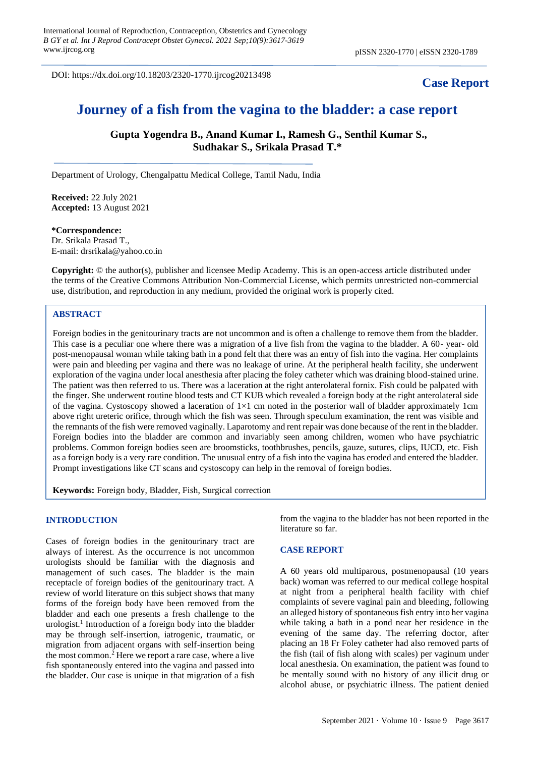DOI: https://dx.doi.org/10.18203/2320-1770.ijrcog20213498

## **Case Report**

# **Journey of a fish from the vagina to the bladder: a case report**

**Gupta Yogendra B., Anand Kumar I., Ramesh G., Senthil Kumar S., Sudhakar S., Srikala Prasad T.\***

Department of Urology, Chengalpattu Medical College, Tamil Nadu, India

**Received:** 22 July 2021 **Accepted:** 13 August 2021

**\*Correspondence:** Dr. Srikala Prasad T., E-mail: drsrikala@yahoo.co.in

**Copyright:** © the author(s), publisher and licensee Medip Academy. This is an open-access article distributed under the terms of the Creative Commons Attribution Non-Commercial License, which permits unrestricted non-commercial use, distribution, and reproduction in any medium, provided the original work is properly cited.

#### **ABSTRACT**

Foreign bodies in the genitourinary tracts are not uncommon and is often a challenge to remove them from the bladder. This case is a peculiar one where there was a migration of a live fish from the vagina to the bladder. A 60- year- old post-menopausal woman while taking bath in a pond felt that there was an entry of fish into the vagina. Her complaints were pain and bleeding per vagina and there was no leakage of urine. At the peripheral health facility, she underwent exploration of the vagina under local anesthesia after placing the foley catheter which was draining blood-stained urine. The patient was then referred to us. There was a laceration at the right anterolateral fornix. Fish could be palpated with the finger. She underwent routine blood tests and CT KUB which revealed a foreign body at the right anterolateral side of the vagina. Cystoscopy showed a laceration of  $1\times1$  cm noted in the posterior wall of bladder approximately 1cm above right ureteric orifice, through which the fish was seen. Through speculum examination, the rent was visible and the remnants of the fish were removed vaginally. Laparotomy and rent repair was done because of the rent in the bladder. Foreign bodies into the bladder are common and invariably seen among children, women who have psychiatric problems. Common foreign bodies seen are broomsticks, toothbrushes, pencils, gauze, sutures, clips, IUCD, etc. Fish as a foreign body is a very rare condition. The unusual entry of a fish into the vagina has eroded and entered the bladder. Prompt investigations like CT scans and cystoscopy can help in the removal of foreign bodies.

**Keywords:** Foreign body, Bladder, Fish, Surgical correction

#### **INTRODUCTION**

Cases of foreign bodies in the genitourinary tract are always of interest. As the occurrence is not uncommon urologists should be familiar with the diagnosis and management of such cases. The bladder is the main receptacle of foreign bodies of the genitourinary tract. A review of world literature on this subject shows that many forms of the foreign body have been removed from the bladder and each one presents a fresh challenge to the urologist.<sup>1</sup> Introduction of a foreign body into the bladder may be through self-insertion, iatrogenic, traumatic, or migration from adjacent organs with self-insertion being the most common.<sup>2</sup> Here we report a rare case, where a live fish spontaneously entered into the vagina and passed into the bladder. Our case is unique in that migration of a fish from the vagina to the bladder has not been reported in the literature so far.

#### **CASE REPORT**

A 60 years old multiparous, postmenopausal (10 years back) woman was referred to our medical college hospital at night from a peripheral health facility with chief complaints of severe vaginal pain and bleeding, following an alleged history of spontaneous fish entry into her vagina while taking a bath in a pond near her residence in the evening of the same day. The referring doctor, after placing an 18 Fr Foley catheter had also removed parts of the fish (tail of fish along with scales) per vaginum under local anesthesia. On examination, the patient was found to be mentally sound with no history of any illicit drug or alcohol abuse, or psychiatric illness. The patient denied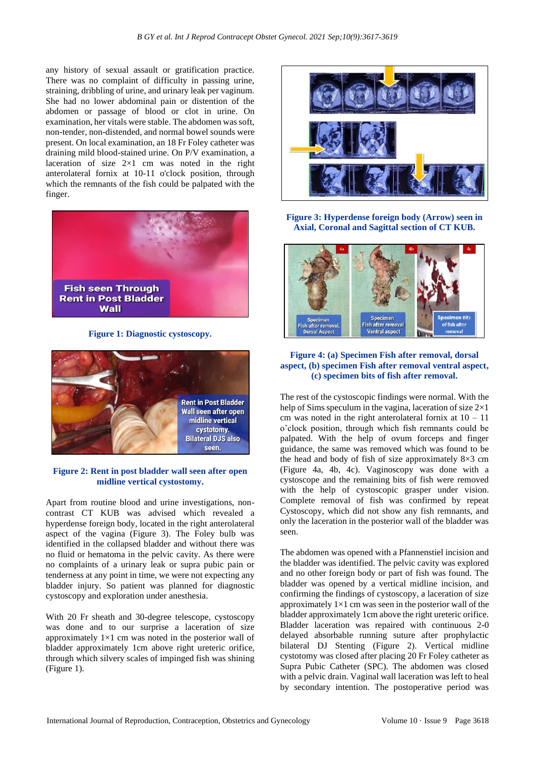any history of sexual assault or gratification practice. There was no complaint of difficulty in passing urine, straining, dribbling of urine, and urinary leak per vaginum. She had no lower abdominal pain or distention of the abdomen or passage of blood or clot in urine. On examination, her vitals were stable. The abdomen was soft, non-tender, non-distended, and normal bowel sounds were present. On local examination, an 18 Fr Foley catheter was draining mild blood-stained urine. On P/V examination, a laceration of size  $2\times1$  cm was noted in the right anterolateral fornix at 10-11 o'clock position, through which the remnants of the fish could be palpated with the finger.



**Figure 1: Diagnostic cystoscopy.**



### **Figure 2: Rent in post bladder wall seen after open midline vertical cystostomy.**

Apart from routine blood and urine investigations, noncontrast CT KUB was advised which revealed a hyperdense foreign body, located in the right anterolateral aspect of the vagina (Figure 3). The Foley bulb was identified in the collapsed bladder and without there was no fluid or hematoma in the pelvic cavity. As there were no complaints of a urinary leak or supra pubic pain or tenderness at any point in time, we were not expecting any bladder injury. So patient was planned for diagnostic cystoscopy and exploration under anesthesia.

With 20 Fr sheath and 30-degree telescope, cystoscopy was done and to our surprise a laceration of size approximately  $1\times1$  cm was noted in the posterior wall of bladder approximately 1cm above right ureteric orifice, through which silvery scales of impinged fish was shining (Figure 1).



**Figure 3: Hyperdense foreign body (Arrow) seen in Axial, Coronal and Sagittal section of CT KUB.**



## **Figure 4: (a) Specimen Fish after removal, dorsal aspect, (b) specimen Fish after removal ventral aspect, (c) specimen bits of fish after removal.**

The rest of the cystoscopic findings were normal. With the help of Sims speculum in the vagina, laceration of size 2×1 cm was noted in the right anterolateral fornix at  $10 - 11$ o'clock position, through which fish remnants could be palpated. With the help of ovum forceps and finger guidance, the same was removed which was found to be the head and body of fish of size approximately  $8\times3$  cm (Figure 4a, 4b, 4c). Vaginoscopy was done with a cystoscope and the remaining bits of fish were removed with the help of cystoscopic grasper under vision. Complete removal of fish was confirmed by repeat Cystoscopy, which did not show any fish remnants, and only the laceration in the posterior wall of the bladder was seen.

The abdomen was opened with a Pfannenstiel incision and the bladder was identified. The pelvic cavity was explored and no other foreign body or part of fish was found. The bladder was opened by a vertical midline incision, and confirming the findings of cystoscopy, a laceration of size approximately  $1\times1$  cm was seen in the posterior wall of the bladder approximately 1cm above the right ureteric orifice. Bladder laceration was repaired with continuous 2-0 delayed absorbable running suture after prophylactic bilateral DJ Stenting (Figure 2). Vertical midline cystotomy was closed after placing 20 Fr Foley catheter as Supra Pubic Catheter (SPC). The abdomen was closed with a pelvic drain. Vaginal wall laceration was left to heal by secondary intention. The postoperative period was